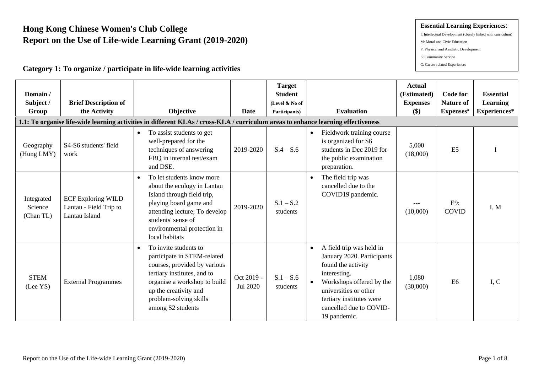# **Hong Kong Chinese Women's Club College Report on the Use of Life-wide Learning Grant (2019-2020)**

### **Category 1: To organize / participate in life-wide learning activities**

#### **Essential Learning Experiences**:

- I: Intellectual Development (closely linked with curriculum)
- M: Moral and Civic Education
- P: Physical and Aesthetic Development
- S: Community Service
- C: Career-related Experiences

| Domain/<br>Subject /<br>Group      | <b>Brief Description of</b><br>the Activity                          | Objective<br>1.1: To organise life-wide learning activities in different KLAs / cross-KLA / curriculum areas to enhance learning effectiveness                                                                                           | Date                   | <b>Target</b><br><b>Student</b><br>(Level & No of<br>Participants) | <b>Evaluation</b>                                                                                                                                                                                                                                  | <b>Actual</b><br>(Estimated)<br><b>Expenses</b><br>$(\$)$ | <b>Code for</b><br><b>Nature of</b><br>Expenses# | <b>Essential</b><br><b>Learning</b><br>Experiences* |
|------------------------------------|----------------------------------------------------------------------|------------------------------------------------------------------------------------------------------------------------------------------------------------------------------------------------------------------------------------------|------------------------|--------------------------------------------------------------------|----------------------------------------------------------------------------------------------------------------------------------------------------------------------------------------------------------------------------------------------------|-----------------------------------------------------------|--------------------------------------------------|-----------------------------------------------------|
| Geography<br>(Hung LMY)            | S4-S6 students' field<br>work                                        | To assist students to get<br>$\bullet$<br>well-prepared for the<br>techniques of answering<br>FBQ in internal test/exam<br>and DSE.                                                                                                      | 2019-2020              | $S.4 - S.6$                                                        | Fieldwork training course<br>$\bullet$<br>is organized for S6<br>students in Dec 2019 for<br>the public examination<br>preparation.                                                                                                                | 5,000<br>(18,000)                                         | E <sub>5</sub>                                   |                                                     |
| Integrated<br>Science<br>(Chan TL) | <b>ECF Exploring WILD</b><br>Lantau - Field Trip to<br>Lantau Island | To let students know more<br>$\bullet$<br>about the ecology in Lantau<br>Island through field trip,<br>playing board game and<br>attending lecture; To develop<br>students' sense of<br>environmental protection in<br>local habitats    | 2019-2020              | $S.1 - S.2$<br>students                                            | The field trip was<br>$\bullet$<br>cancelled due to the<br>COVID19 pandemic.                                                                                                                                                                       | (10,000)                                                  | E9:<br><b>COVID</b>                              | I, M                                                |
| <b>STEM</b><br>(Lee YS)            | <b>External Programmes</b>                                           | To invite students to<br>$\bullet$<br>participate in STEM-related<br>courses, provided by various<br>tertiary institutes, and to<br>organise a workshop to build<br>up the creativity and<br>problem-solving skills<br>among S2 students | Oct 2019 -<br>Jul 2020 | $S.1 - S.6$<br>students                                            | A field trip was held in<br>$\bullet$<br>January 2020. Participants<br>found the activity<br>interesting.<br>Workshops offered by the<br>$\bullet$<br>universities or other<br>tertiary institutes were<br>cancelled due to COVID-<br>19 pandemic. | 1,080<br>(30,000)                                         | E <sub>6</sub>                                   | I, C                                                |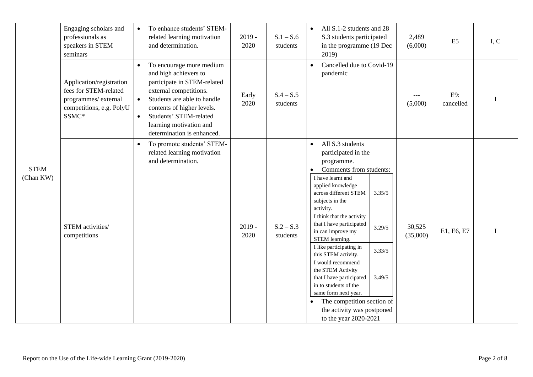|                          | Engaging scholars and<br>professionals as<br>speakers in STEM<br>seminars                                     | $\bullet$                           | To enhance students' STEM-<br>related learning motivation<br>and determination.                                                                                                                                                                            | $2019 -$<br>2020 | $S.1 - S.6$<br>students | All S.1-2 students and 28<br>$\bullet$<br>S.3 students participated<br>in the programme (19 Dec<br>2019)                                                                                                                                                                                                                                                                                                                                                                                                                                                                                                                         | 2,489<br>(6,000)   | E <sub>5</sub>   | I, C        |
|--------------------------|---------------------------------------------------------------------------------------------------------------|-------------------------------------|------------------------------------------------------------------------------------------------------------------------------------------------------------------------------------------------------------------------------------------------------------|------------------|-------------------------|----------------------------------------------------------------------------------------------------------------------------------------------------------------------------------------------------------------------------------------------------------------------------------------------------------------------------------------------------------------------------------------------------------------------------------------------------------------------------------------------------------------------------------------------------------------------------------------------------------------------------------|--------------------|------------------|-------------|
|                          | Application/registration<br>fees for STEM-related<br>programmes/external<br>competitions, e.g. PolyU<br>SSMC* | $\bullet$<br>$\bullet$<br>$\bullet$ | To encourage more medium<br>and high achievers to<br>participate in STEM-related<br>external competitions.<br>Students are able to handle<br>contents of higher levels.<br>Students' STEM-related<br>learning motivation and<br>determination is enhanced. | Early<br>2020    | $S.4 - S.5$<br>students | Cancelled due to Covid-19<br>$\bullet$<br>pandemic                                                                                                                                                                                                                                                                                                                                                                                                                                                                                                                                                                               | (5,000)            | E9:<br>cancelled |             |
| <b>STEM</b><br>(Chan KW) | STEM activities/<br>competitions                                                                              | $\bullet$                           | To promote students' STEM-<br>related learning motivation<br>and determination.                                                                                                                                                                            | $2019 -$<br>2020 | $S.2 - S.3$<br>students | All S.3 students<br>$\bullet$<br>participated in the<br>programme.<br>Comments from students:<br>$\bullet$<br>I have learnt and<br>applied knowledge<br>3.35/5<br>across different STEM<br>subjects in the<br>activity.<br>I think that the activity<br>that I have participated<br>3.29/5<br>in can improve my<br>STEM learning.<br>I like participating in<br>3.33/5<br>this STEM activity.<br>I would recommend<br>the STEM Activity<br>3.49/5<br>that I have participated<br>in to students of the<br>same form next year.<br>The competition section of<br>$\bullet$<br>the activity was postponed<br>to the year 2020-2021 | 30,525<br>(35,000) | E1, E6, E7       | $\mathbf I$ |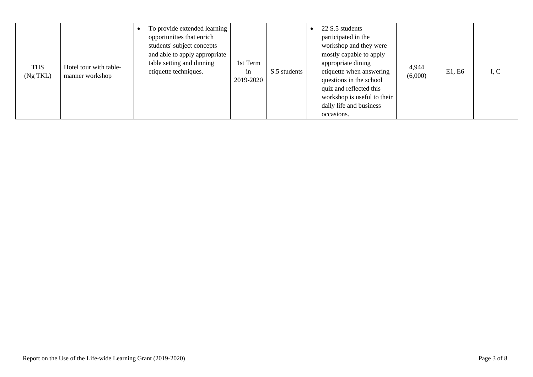| <b>THS</b><br>$(Ng$ TKL $)$ | Hotel tour with table-<br>manner workshop | To provide extended learning<br>opportunities that enrich<br>students' subject concepts<br>and able to apply appropriate<br>table setting and dinning<br>etiquette techniques. | 1st Term<br>in<br>2019-2020 | S.5 students | 22 S.5 students<br>participated in the<br>workshop and they were<br>mostly capable to apply<br>appropriate dining<br>etiquette when answering<br>questions in the school<br>quiz and reflected this<br>workshop is useful to their<br>daily life and business<br>occasions. | 4,944<br>(6,000) | E1, E6 | I, C |
|-----------------------------|-------------------------------------------|--------------------------------------------------------------------------------------------------------------------------------------------------------------------------------|-----------------------------|--------------|-----------------------------------------------------------------------------------------------------------------------------------------------------------------------------------------------------------------------------------------------------------------------------|------------------|--------|------|
|-----------------------------|-------------------------------------------|--------------------------------------------------------------------------------------------------------------------------------------------------------------------------------|-----------------------------|--------------|-----------------------------------------------------------------------------------------------------------------------------------------------------------------------------------------------------------------------------------------------------------------------------|------------------|--------|------|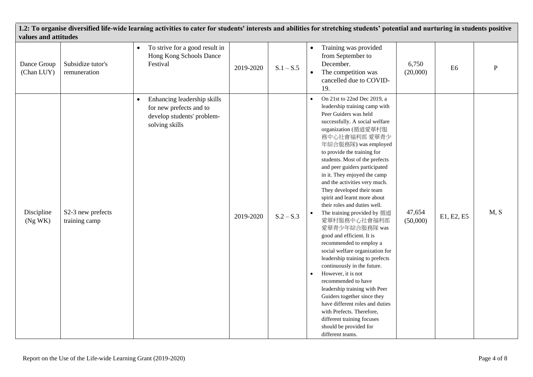| values and attitudes      |                                    | 1.2: To organise diversified life-wide learning activities to cater for students' interests and abilities for stretching students' potential and nurturing in students positive |           |             |                                                                                                                                                                                                                                                                                                                                                                                                                                                                                                                                                                                                                                                                                                                                                                                                                                                                                                                                                                                        |                    |                |           |
|---------------------------|------------------------------------|---------------------------------------------------------------------------------------------------------------------------------------------------------------------------------|-----------|-------------|----------------------------------------------------------------------------------------------------------------------------------------------------------------------------------------------------------------------------------------------------------------------------------------------------------------------------------------------------------------------------------------------------------------------------------------------------------------------------------------------------------------------------------------------------------------------------------------------------------------------------------------------------------------------------------------------------------------------------------------------------------------------------------------------------------------------------------------------------------------------------------------------------------------------------------------------------------------------------------------|--------------------|----------------|-----------|
| Dance Group<br>(Chan LUY) | Subsidize tutor's<br>remuneration  | To strive for a good result in<br>$\bullet$<br>Hong Kong Schools Dance<br>Festival                                                                                              | 2019-2020 | $S.1 - S.5$ | Training was provided<br>$\bullet$<br>from September to<br>December.<br>The competition was<br>$\bullet$<br>cancelled due to COVID-<br>19.                                                                                                                                                                                                                                                                                                                                                                                                                                                                                                                                                                                                                                                                                                                                                                                                                                             | 6,750<br>(20,000)  | E <sub>6</sub> | ${\bf P}$ |
| Discipline<br>(Ng WK)     | S2-3 new prefects<br>training camp | Enhancing leadership skills<br>$\bullet$<br>for new prefects and to<br>develop students' problem-<br>solving skills                                                             | 2019-2020 | $S.2 - S.3$ | On 21st to 22nd Dec 2019, a<br>$\bullet$<br>leadership training camp with<br>Peer Guiders was held<br>successfully. A social welfare<br>organization (循道愛華村服<br>務中心社會福利部 愛華青少<br>年綜合服務隊) was employed<br>to provide the training for<br>students. Most of the prefects<br>and peer guiders participated<br>in it. They enjoyed the camp<br>and the activities very much.<br>They developed their team<br>spirit and learnt more about<br>their roles and duties well.<br>The training provided by 循道<br>$\bullet$<br>愛華村服務中心社會福利部<br>愛華青少年綜合服務隊 was<br>good and efficient. It is<br>recommended to employ a<br>social welfare organization for<br>leadership training to prefects<br>continuously in the future.<br>However, it is not<br>$\bullet$<br>recommended to have<br>leadership training with Peer<br>Guiders together since they<br>have different roles and duties<br>with Prefects. Therefore,<br>different training focuses<br>should be provided for<br>different teams. | 47,654<br>(50,000) | E1, E2, E5     | M, S      |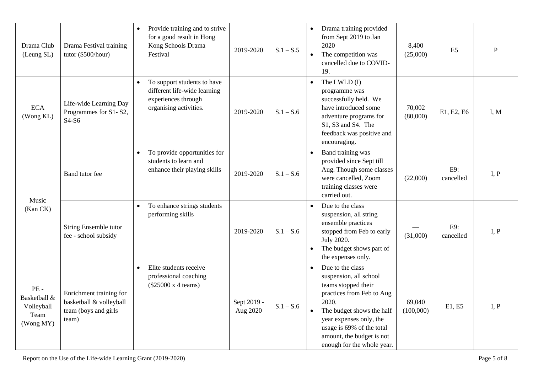| Drama Club<br>(Leung SL)                                  | Drama Festival training<br>tutor (\$500/hour)                                       | Provide training and to strive<br>$\bullet$<br>for a good result in Hong<br>Kong Schools Drama<br>Festival                | 2019-2020               | $S.1 - S.5$ | Drama training provided<br>$\bullet$<br>from Sept 2019 to Jan<br>2020<br>The competition was<br>$\bullet$<br>cancelled due to COVID-<br>19.                                                                                                                          | 8,400<br>(25,000)   | E <sub>5</sub>   | $\mathbf{P}$ |
|-----------------------------------------------------------|-------------------------------------------------------------------------------------|---------------------------------------------------------------------------------------------------------------------------|-------------------------|-------------|----------------------------------------------------------------------------------------------------------------------------------------------------------------------------------------------------------------------------------------------------------------------|---------------------|------------------|--------------|
| <b>ECA</b><br>(Wong KL)                                   | Life-wide Learning Day<br>Programmes for S1-S2,<br>S4-S6                            | To support students to have<br>$\bullet$<br>different life-wide learning<br>experiences through<br>organising activities. | 2019-2020               | $S.1 - S.6$ | The LWLD (I)<br>$\bullet$<br>programme was<br>successfully held. We<br>have introduced some<br>adventure programs for<br>S1, S3 and S4. The<br>feedback was positive and<br>encouraging.                                                                             | 70,002<br>(80,000)  | E1, E2, E6       | I, M         |
|                                                           | Band tutor fee                                                                      | To provide opportunities for<br>$\bullet$<br>students to learn and<br>enhance their playing skills                        | 2019-2020               | $S.1 - S.6$ | Band training was<br>$\bullet$<br>provided since Sept till<br>Aug. Though some classes<br>were cancelled, Zoom<br>training classes were<br>carried out.                                                                                                              | (22,000)            | E9:<br>cancelled | I, P         |
| Music<br>(Kan CK)                                         | String Ensemble tutor<br>fee - school subsidy                                       | To enhance strings students<br>$\bullet$<br>performing skills                                                             | 2019-2020               | $S.1 - S.6$ | Due to the class<br>suspension, all string<br>ensemble practices<br>stopped from Feb to early<br>July 2020.<br>The budget shows part of<br>the expenses only.                                                                                                        | (31,000)            | E9:<br>cancelled | I, P         |
| $PE -$<br>Basketball &<br>Volleyball<br>Team<br>(Wong MY) | Enrichment training for<br>basketball & volleyball<br>team (boys and girls<br>team) | Elite students receive<br>$\bullet$<br>professional coaching<br>(\$25000 x 4 teams)                                       | Sept 2019 -<br>Aug 2020 | $S.1 - S.6$ | Due to the class<br>$\bullet$<br>suspension, all school<br>teams stopped their<br>practices from Feb to Aug<br>2020.<br>The budget shows the half<br>year expenses only, the<br>usage is 69% of the total<br>amount, the budget is not<br>enough for the whole year. | 69,040<br>(100,000) | E1, E5           | I, P         |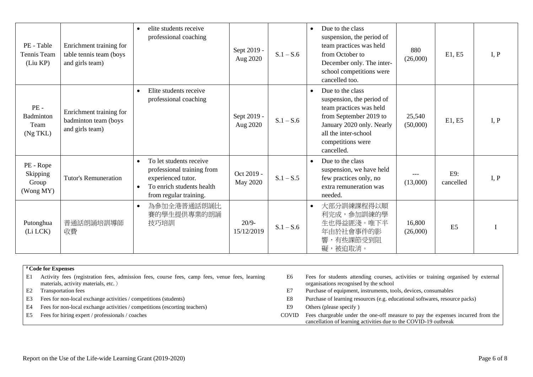| PE - Table<br>Tennis Team<br>(Liu KP)               | Enrichment training for<br>table tennis team (boys<br>and girls team) | elite students receive<br>$\bullet$<br>professional coaching                                                                                                 | Sept 2019 -<br>Aug 2020       | $S.1 - S.6$ | Due to the class<br>$\bullet$<br>suspension, the period of<br>team practices was held<br>from October to<br>December only. The inter-<br>school competitions were<br>cancelled too.                     | 880<br>(26,000)    | E1, E5           | I, P |
|-----------------------------------------------------|-----------------------------------------------------------------------|--------------------------------------------------------------------------------------------------------------------------------------------------------------|-------------------------------|-------------|---------------------------------------------------------------------------------------------------------------------------------------------------------------------------------------------------------|--------------------|------------------|------|
| $PE -$<br><b>Badminton</b><br>Team<br>$(Ng$ TKL $)$ | Enrichment training for<br>badminton team (boys<br>and girls team)    | Elite students receive<br>$\bullet$<br>professional coaching                                                                                                 | Sept 2019 -<br>Aug 2020       | $S.1 - S.6$ | Due to the class<br>$\bullet$<br>suspension, the period of<br>team practices was held<br>from September 2019 to<br>January 2020 only. Nearly<br>all the inter-school<br>competitions were<br>cancelled. | 25,540<br>(50,000) | E1, E5           | I, P |
| PE - Rope<br>Skipping<br>Group<br>(Wong MY)         | <b>Tutor's Remuneration</b>                                           | To let students receive<br>$\bullet$<br>professional training from<br>experienced tutor.<br>To enrich students health<br>$\bullet$<br>from regular training. | Oct 2019 -<br><b>May 2020</b> | $S.1 - S.5$ | Due to the class<br>$\bullet$<br>suspension, we have held<br>few practices only, no<br>extra remuneration was<br>needed.                                                                                | (13,000)           | E9:<br>cancelled | I, P |
| Putonghua<br>(Li LCK)                               | 普通話朗誦培訓導師<br>收費                                                       | 為參加全港普通話朗誦比<br>$\bullet$<br>賽的學生提供專業的朗誦<br>技巧培訓                                                                                                              | $20/9-$<br>15/12/2019         | $S.1 - S.6$ | 大部分訓練課程得以順<br>$\bullet$<br>利完成,參加訓練的學<br>生也得益匪淺。唯下半<br>年由於社會事件的影<br>響,有些課節受到阻<br>被迫取消。<br>礙,                                                                                                            | 16,800<br>(26,000) | E <sub>5</sub>   |      |

|    | <i>#</i> Code for Expenses                                                                                                             |              |                                                                                                                                                     |
|----|----------------------------------------------------------------------------------------------------------------------------------------|--------------|-----------------------------------------------------------------------------------------------------------------------------------------------------|
| E1 | Activity fees (registration fees, admission fees, course fees, camp fees, venue fees, learning<br>materials, activity materials, etc.) | E6           | Fees for students attending courses, activities or training organised by external<br>organisations recognised by the school                         |
| E2 | <b>Transportation fees</b>                                                                                                             | E7           | Purchase of equipment, instruments, tools, devices, consumables                                                                                     |
| E3 | Fees for non-local exchange activities / competitions (students)                                                                       | E8           | Purchase of learning resources (e.g. educational softwares, resource packs)                                                                         |
| E4 | Fees for non-local exchange activities / competitions (escorting teachers)                                                             | E9           | Others (please specify)                                                                                                                             |
| E5 | Fees for hiring expert / professionals / coaches                                                                                       | <b>COVID</b> | Fees chargeable under the one-off measure to pay the expenses incurred from the<br>cancellation of learning activities due to the COVID-19 outbreak |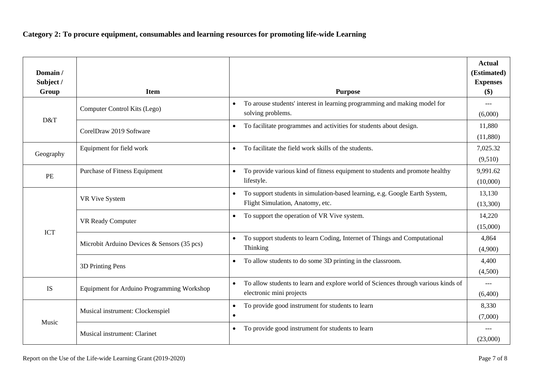## **Category 2: To procure equipment, consumables and learning resources for promoting life-wide Learning**

| Domain/<br>Subject / |                                             |                                                                                                                              | <b>Actual</b><br>(Estimated)<br><b>Expenses</b> |
|----------------------|---------------------------------------------|------------------------------------------------------------------------------------------------------------------------------|-------------------------------------------------|
| Group                | <b>Item</b>                                 | <b>Purpose</b>                                                                                                               | $(\$)$                                          |
| D&T                  | Computer Control Kits (Lego)                | To arouse students' interest in learning programming and making model for<br>$\bullet$<br>solving problems.                  | $---$<br>(6,000)                                |
|                      | CorelDraw 2019 Software                     | To facilitate programmes and activities for students about design.<br>$\bullet$                                              | 11,880<br>(11,880)                              |
| Geography            | Equipment for field work                    | To facilitate the field work skills of the students.<br>$\bullet$                                                            | 7,025.32<br>(9,510)                             |
| PE                   | Purchase of Fitness Equipment               | To provide various kind of fitness equipment to students and promote healthy<br>$\bullet$<br>lifestyle.                      | 9,991.62<br>(10,000)                            |
|                      | VR Vive System                              | To support students in simulation-based learning, e.g. Google Earth System,<br>$\bullet$<br>Flight Simulation, Anatomy, etc. | 13,130<br>(13,300)                              |
|                      | VR Ready Computer                           | To support the operation of VR Vive system.<br>$\bullet$                                                                     | 14,220<br>(15,000)                              |
| <b>ICT</b>           | Microbit Arduino Devices & Sensors (35 pcs) | To support students to learn Coding, Internet of Things and Computational<br>$\bullet$<br>Thinking                           | 4,864<br>(4,900)                                |
|                      | 3D Printing Pens                            | To allow students to do some 3D printing in the classroom.<br>$\bullet$                                                      | 4,400<br>(4,500)                                |
| <b>IS</b>            | Equipment for Arduino Programming Workshop  | To allow students to learn and explore world of Sciences through various kinds of<br>$\bullet$<br>electronic mini projects   | $---$<br>(6,400)                                |
|                      | Musical instrument: Clockenspiel            | To provide good instrument for students to learn<br>$\bullet$<br>$\bullet$                                                   | 8,330<br>(7,000)                                |
| Music                | Musical instrument: Clarinet                | To provide good instrument for students to learn<br>$\bullet$                                                                | $---$<br>(23,000)                               |